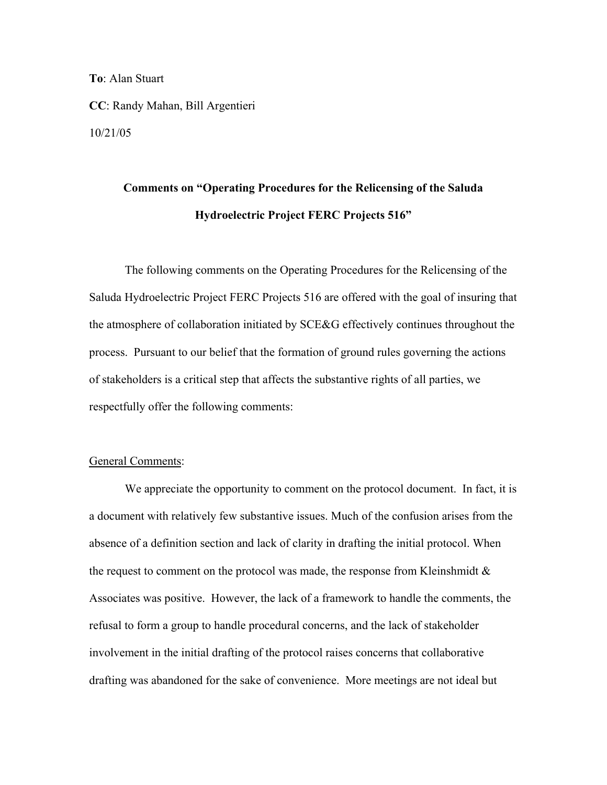**To**: Alan Stuart

**CC**: Randy Mahan, Bill Argentieri 10/21/05

## **Comments on "Operating Procedures for the Relicensing of the Saluda Hydroelectric Project FERC Projects 516"**

 The following comments on the Operating Procedures for the Relicensing of the Saluda Hydroelectric Project FERC Projects 516 are offered with the goal of insuring that the atmosphere of collaboration initiated by SCE&G effectively continues throughout the process. Pursuant to our belief that the formation of ground rules governing the actions of stakeholders is a critical step that affects the substantive rights of all parties, we respectfully offer the following comments:

## General Comments:

We appreciate the opportunity to comment on the protocol document. In fact, it is a document with relatively few substantive issues. Much of the confusion arises from the absence of a definition section and lack of clarity in drafting the initial protocol. When the request to comment on the protocol was made, the response from Kleinshmidt  $\&$ Associates was positive. However, the lack of a framework to handle the comments, the refusal to form a group to handle procedural concerns, and the lack of stakeholder involvement in the initial drafting of the protocol raises concerns that collaborative drafting was abandoned for the sake of convenience. More meetings are not ideal but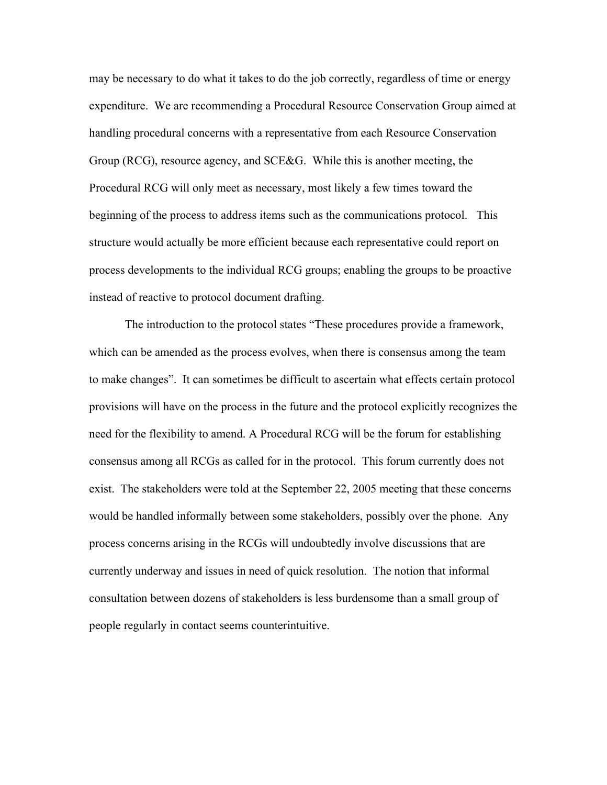may be necessary to do what it takes to do the job correctly, regardless of time or energy expenditure. We are recommending a Procedural Resource Conservation Group aimed at handling procedural concerns with a representative from each Resource Conservation Group (RCG), resource agency, and SCE&G. While this is another meeting, the Procedural RCG will only meet as necessary, most likely a few times toward the beginning of the process to address items such as the communications protocol. This structure would actually be more efficient because each representative could report on process developments to the individual RCG groups; enabling the groups to be proactive instead of reactive to protocol document drafting.

The introduction to the protocol states "These procedures provide a framework, which can be amended as the process evolves, when there is consensus among the team to make changes". It can sometimes be difficult to ascertain what effects certain protocol provisions will have on the process in the future and the protocol explicitly recognizes the need for the flexibility to amend. A Procedural RCG will be the forum for establishing consensus among all RCGs as called for in the protocol. This forum currently does not exist. The stakeholders were told at the September 22, 2005 meeting that these concerns would be handled informally between some stakeholders, possibly over the phone. Any process concerns arising in the RCGs will undoubtedly involve discussions that are currently underway and issues in need of quick resolution. The notion that informal consultation between dozens of stakeholders is less burdensome than a small group of people regularly in contact seems counterintuitive.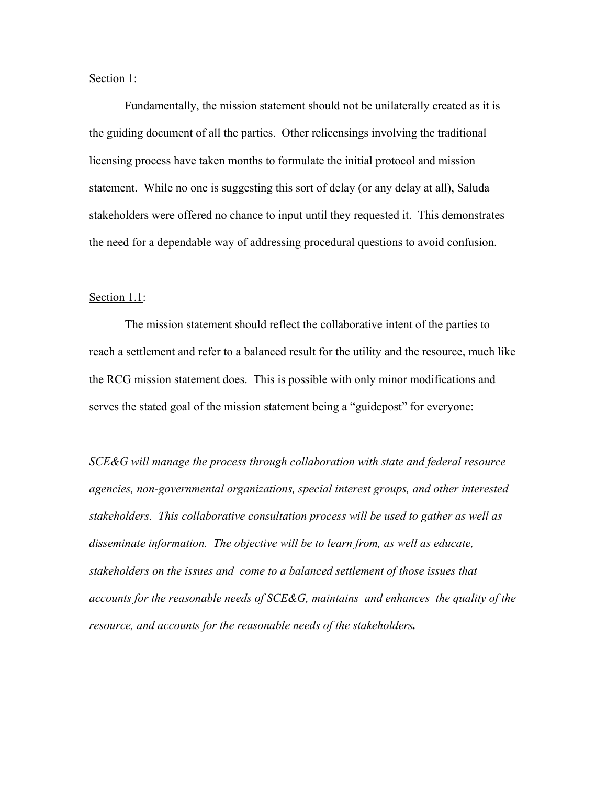Section 1:

Fundamentally, the mission statement should not be unilaterally created as it is the guiding document of all the parties. Other relicensings involving the traditional licensing process have taken months to formulate the initial protocol and mission statement. While no one is suggesting this sort of delay (or any delay at all), Saluda stakeholders were offered no chance to input until they requested it. This demonstrates the need for a dependable way of addressing procedural questions to avoid confusion.

#### Section 1.1:

The mission statement should reflect the collaborative intent of the parties to reach a settlement and refer to a balanced result for the utility and the resource, much like the RCG mission statement does. This is possible with only minor modifications and serves the stated goal of the mission statement being a "guidepost" for everyone:

*SCE&G will manage the process through collaboration with state and federal resource agencies, non-governmental organizations, special interest groups, and other interested stakeholders. This collaborative consultation process will be used to gather as well as*  disseminate information. The objective will be to learn from, as well as educate, *stakeholders on the issues and come to a balanced settlement of those issues that accounts for the reasonable needs of SCE&G, maintains and enhances the quality of the resource, and accounts for the reasonable needs of the stakeholders.*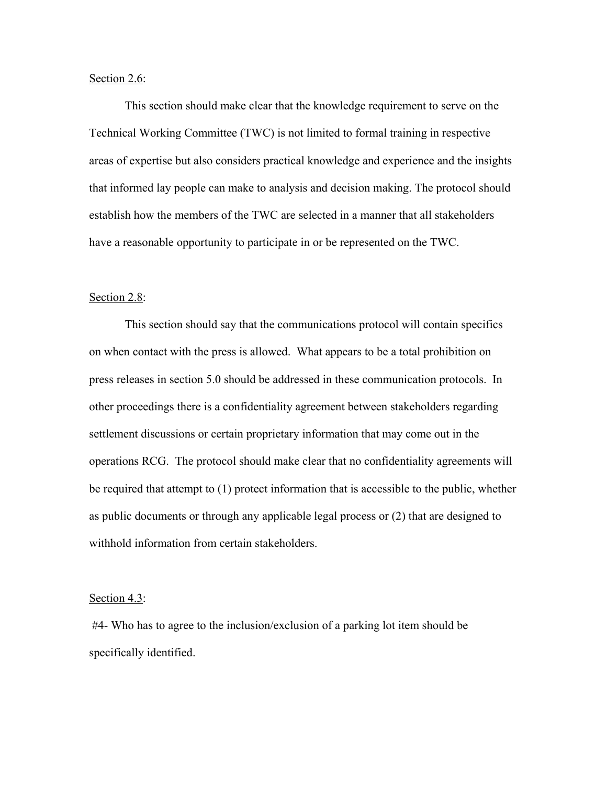## Section 2.6:

This section should make clear that the knowledge requirement to serve on the Technical Working Committee (TWC) is not limited to formal training in respective areas of expertise but also considers practical knowledge and experience and the insights that informed lay people can make to analysis and decision making. The protocol should establish how the members of the TWC are selected in a manner that all stakeholders have a reasonable opportunity to participate in or be represented on the TWC.

### Section 2.8:

 This section should say that the communications protocol will contain specifics on when contact with the press is allowed. What appears to be a total prohibition on press releases in section 5.0 should be addressed in these communication protocols. In other proceedings there is a confidentiality agreement between stakeholders regarding settlement discussions or certain proprietary information that may come out in the operations RCG. The protocol should make clear that no confidentiality agreements will be required that attempt to (1) protect information that is accessible to the public, whether as public documents or through any applicable legal process or (2) that are designed to withhold information from certain stakeholders.

#### Section 4.3:

 #4- Who has to agree to the inclusion/exclusion of a parking lot item should be specifically identified.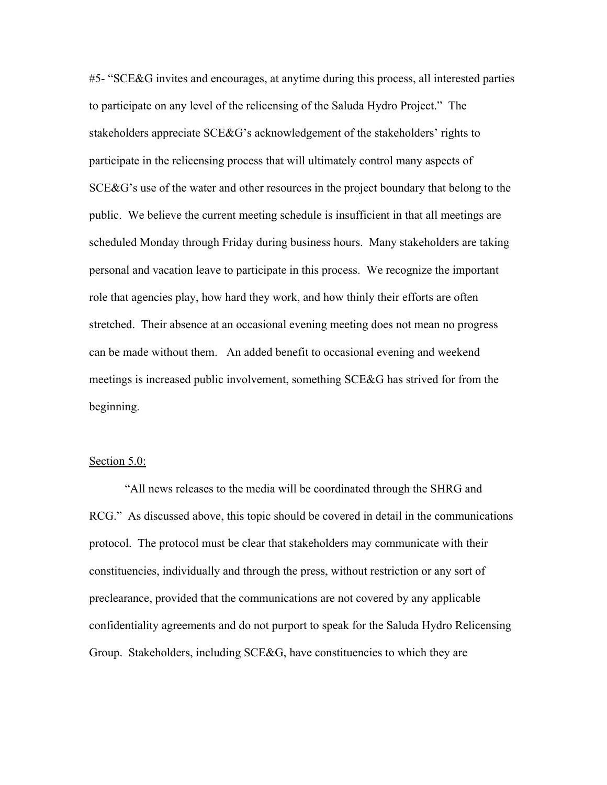#5- "SCE&G invites and encourages, at anytime during this process, all interested parties to participate on any level of the relicensing of the Saluda Hydro Project." The stakeholders appreciate SCE&G's acknowledgement of the stakeholders' rights to participate in the relicensing process that will ultimately control many aspects of SCE&G's use of the water and other resources in the project boundary that belong to the public. We believe the current meeting schedule is insufficient in that all meetings are scheduled Monday through Friday during business hours. Many stakeholders are taking personal and vacation leave to participate in this process. We recognize the important role that agencies play, how hard they work, and how thinly their efforts are often stretched. Their absence at an occasional evening meeting does not mean no progress can be made without them. An added benefit to occasional evening and weekend meetings is increased public involvement, something SCE&G has strived for from the beginning.

#### Section 5.0:

"All news releases to the media will be coordinated through the SHRG and RCG." As discussed above, this topic should be covered in detail in the communications protocol. The protocol must be clear that stakeholders may communicate with their constituencies, individually and through the press, without restriction or any sort of preclearance, provided that the communications are not covered by any applicable confidentiality agreements and do not purport to speak for the Saluda Hydro Relicensing Group.Stakeholders, including SCE&G, have constituencies to which they are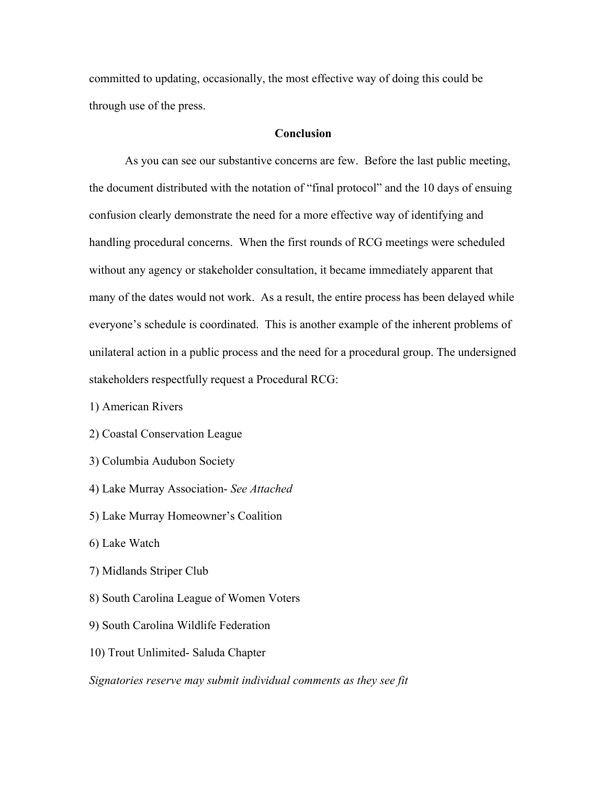committed to updating, occasionally, the most effective way of doing this could be through use of the press.

## **Conclusion**

As you can see our substantive concerns are few. Before the last public meeting, the document distributed with the notation of "final protocol" and the 10 days of ensuing confusion clearly demonstrate the need for a more effective way of identifying and handling procedural concerns. When the first rounds of RCG meetings were scheduled without any agency or stakeholder consultation, it became immediately apparent that many of the dates would not work. As a result, the entire process has been delayed while everyone's schedule is coordinated. This is another example of the inherent problems of unilateral action in a public process and the need for a procedural group. The undersigned stakeholders respectfully request a Procedural RCG:

1) American Rivers

2) Coastal Conservation League

- 3) Columbia Audubon Society
- 4) Lake Murray Association- *See Attached*
- 5) Lake Murray Homeowner's Coalition
- 6) Lake Watch
- 7) Midlands Striper Club
- 8) South Carolina League of Women Voters
- 9) South Carolina Wildlife Federation
- 10) Trout Unlimited- Saluda Chapter
- *Signatories reserve may submit individual comments as they see fit*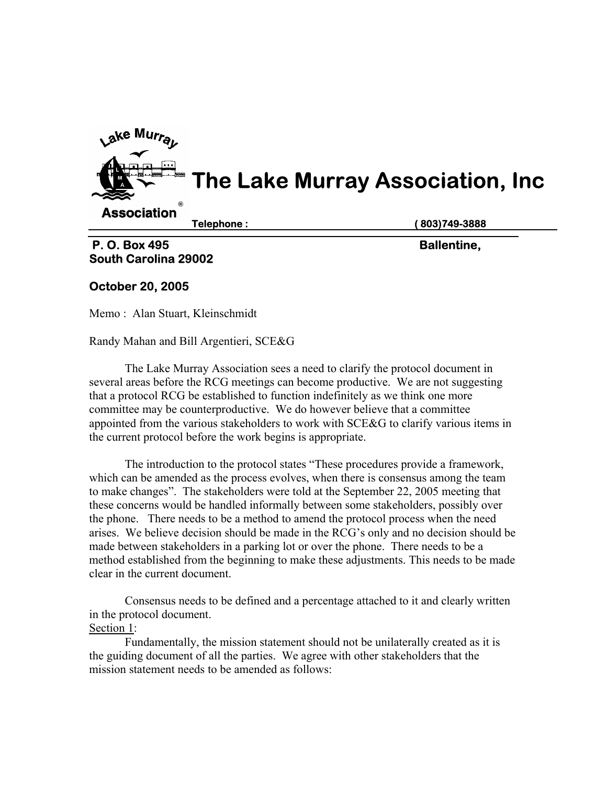

# **South Carolina 29002**

## **October 20, 2005**

Memo : Alan Stuart, Kleinschmidt

Randy Mahan and Bill Argentieri, SCE&G

 The Lake Murray Association sees a need to clarify the protocol document in several areas before the RCG meetings can become productive. We are not suggesting that a protocol RCG be established to function indefinitely as we think one more committee may be counterproductive. We do however believe that a committee appointed from the various stakeholders to work with SCE&G to clarify various items in the current protocol before the work begins is appropriate.

The introduction to the protocol states "These procedures provide a framework, which can be amended as the process evolves, when there is consensus among the team to make changes". The stakeholders were told at the September 22, 2005 meeting that these concerns would be handled informally between some stakeholders, possibly over the phone. There needs to be a method to amend the protocol process when the need arises. We believe decision should be made in the RCG's only and no decision should be made between stakeholders in a parking lot or over the phone. There needs to be a method established from the beginning to make these adjustments. This needs to be made clear in the current document.

Consensus needs to be defined and a percentage attached to it and clearly written in the protocol document. Section 1:

Fundamentally, the mission statement should not be unilaterally created as it is the guiding document of all the parties. We agree with other stakeholders that the mission statement needs to be amended as follows: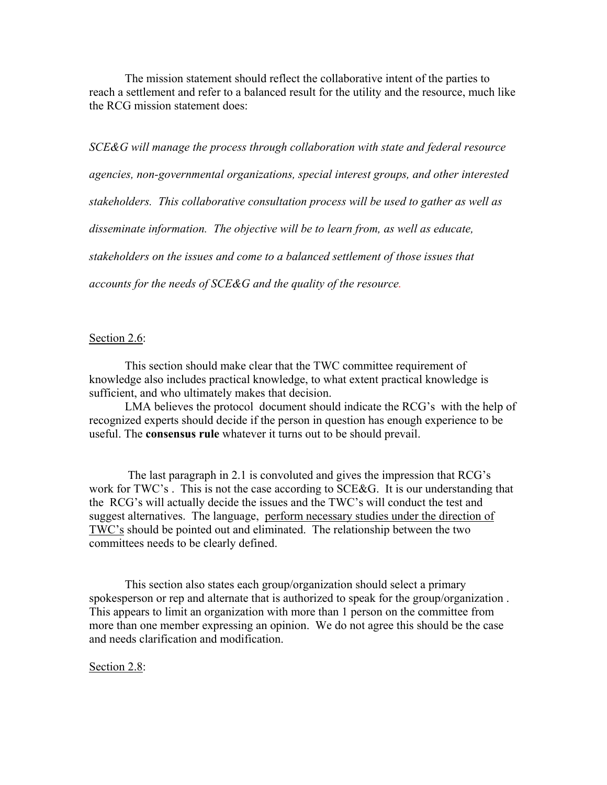The mission statement should reflect the collaborative intent of the parties to reach a settlement and refer to a balanced result for the utility and the resource, much like the RCG mission statement does:

*SCE&G will manage the process through collaboration with state and federal resource agencies, non-governmental organizations, special interest groups, and other interested stakeholders. This collaborative consultation process will be used to gather as well as*  disseminate information. The objective will be to learn from, as well as educate, *stakeholders on the issues and come to a balanced settlement of those issues that accounts for the needs of SCE&G and the quality of the resource.* 

## Section 2.6:

This section should make clear that the TWC committee requirement of knowledge also includes practical knowledge, to what extent practical knowledge is sufficient, and who ultimately makes that decision.

LMA believes the protocol document should indicate the RCG's with the help of recognized experts should decide if the person in question has enough experience to be useful. The **consensus rule** whatever it turns out to be should prevail.

 The last paragraph in 2.1 is convoluted and gives the impression that RCG's work for TWC's. This is not the case according to SCE&G. It is our understanding that the RCG's will actually decide the issues and the TWC's will conduct the test and suggest alternatives. The language, perform necessary studies under the direction of TWC's should be pointed out and eliminated. The relationship between the two committees needs to be clearly defined.

This section also states each group/organization should select a primary spokesperson or rep and alternate that is authorized to speak for the group/organization . This appears to limit an organization with more than 1 person on the committee from more than one member expressing an opinion. We do not agree this should be the case and needs clarification and modification.

Section 2.8: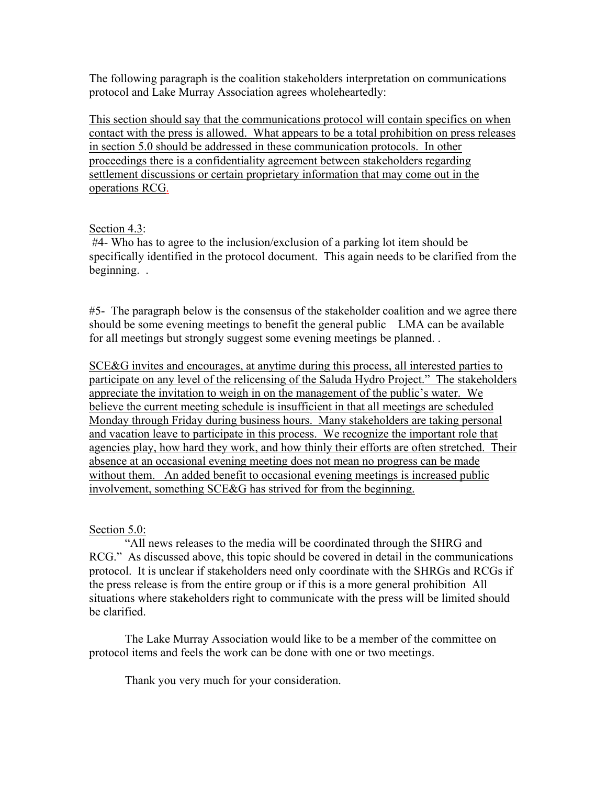The following paragraph is the coalition stakeholders interpretation on communications protocol and Lake Murray Association agrees wholeheartedly:

This section should say that the communications protocol will contain specifics on when contact with the press is allowed. What appears to be a total prohibition on press releases in section 5.0 should be addressed in these communication protocols. In other proceedings there is a confidentiality agreement between stakeholders regarding settlement discussions or certain proprietary information that may come out in the operations RCG.

## Section 4.3:

 #4- Who has to agree to the inclusion/exclusion of a parking lot item should be specifically identified in the protocol document. This again needs to be clarified from the beginning. .

#5- The paragraph below is the consensus of the stakeholder coalition and we agree there should be some evening meetings to benefit the general public LMA can be available for all meetings but strongly suggest some evening meetings be planned. .

SCE&G invites and encourages, at anytime during this process, all interested parties to participate on any level of the relicensing of the Saluda Hydro Project." The stakeholders appreciate the invitation to weigh in on the management of the public's water. We believe the current meeting schedule is insufficient in that all meetings are scheduled Monday through Friday during business hours. Many stakeholders are taking personal and vacation leave to participate in this process. We recognize the important role that agencies play, how hard they work, and how thinly their efforts are often stretched. Their absence at an occasional evening meeting does not mean no progress can be made without them. An added benefit to occasional evening meetings is increased public involvement, something SCE&G has strived for from the beginning.

## Section 5.0:

"All news releases to the media will be coordinated through the SHRG and RCG." As discussed above, this topic should be covered in detail in the communications protocol. It is unclear if stakeholders need only coordinate with the SHRGs and RCGs if the press release is from the entire group or if this is a more general prohibition All situations where stakeholders right to communicate with the press will be limited should be clarified.

The Lake Murray Association would like to be a member of the committee on protocol items and feels the work can be done with one or two meetings.

Thank you very much for your consideration.